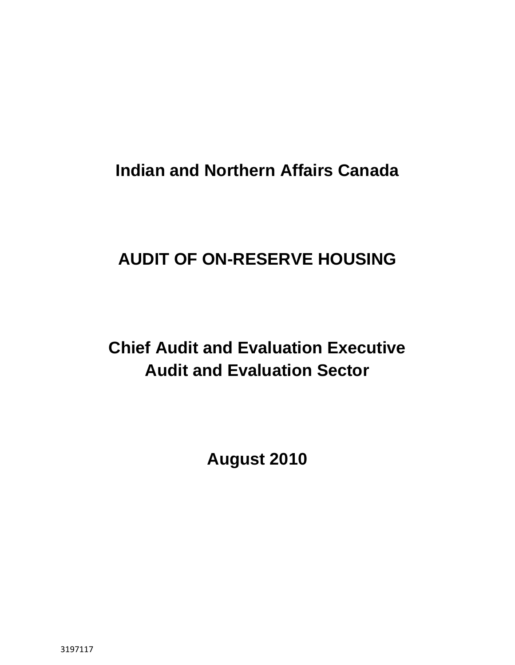**Indian and Northern Affairs Canada** 

# **AUDIT OF ON-RESERVE HOUSING**

# **Chief Audit and Evaluation Executive Audit and Evaluation Sector**

**August 2010**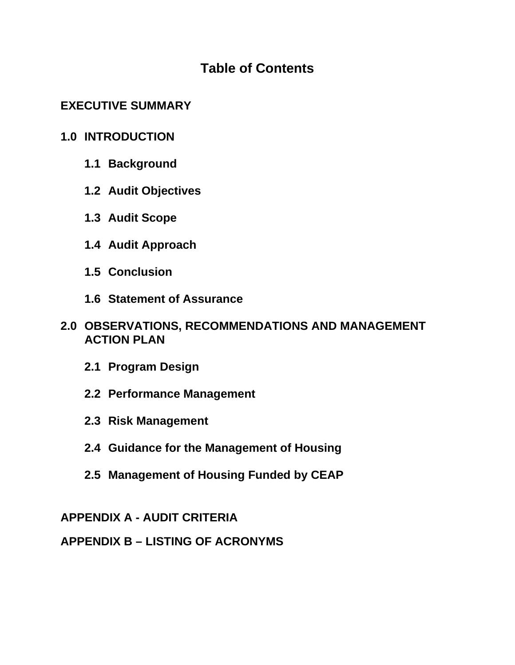# **Table of Contents**

# **EXECUTIVE SUMMARY**

# **1.0 INTRODUCTION**

- **1.1 Background**
- **1.2 Audit Objectives**
- **1.3 Audit Scope**
- **1.4 Audit Approach**
- **1.5 Conclusion**
- **1.6 Statement of Assurance**
- **2.0 OBSERVATIONS, RECOMMENDATIONS AND MANAGEMENT ACTION PLAN** 
	- **2.1 Program Design**
	- **2.2 Performance Management**
	- **2.3 Risk Management**
	- **2.4 Guidance for the Management of Housing**
	- **2.5 Management of Housing Funded by CEAP**

# **APPENDIX A - AUDIT CRITERIA**

# **APPENDIX B – LISTING OF ACRONYMS**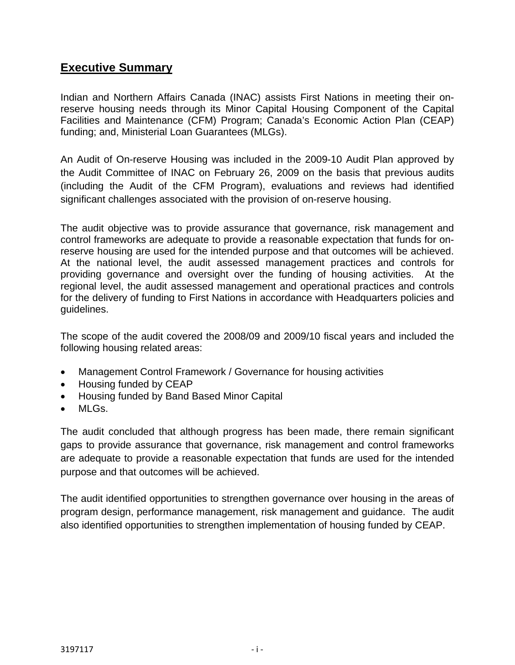# **Executive Summary**

Indian and Northern Affairs Canada (INAC) assists First Nations in meeting their onreserve housing needs through its Minor Capital Housing Component of the Capital Facilities and Maintenance (CFM) Program; Canada's Economic Action Plan (CEAP) funding; and, Ministerial Loan Guarantees (MLGs).

An Audit of On-reserve Housing was included in the 2009-10 Audit Plan approved by the Audit Committee of INAC on February 26, 2009 on the basis that previous audits (including the Audit of the CFM Program), evaluations and reviews had identified significant challenges associated with the provision of on-reserve housing.

The audit objective was to provide assurance that governance, risk management and control frameworks are adequate to provide a reasonable expectation that funds for onreserve housing are used for the intended purpose and that outcomes will be achieved. At the national level, the audit assessed management practices and controls for providing governance and oversight over the funding of housing activities. At the regional level, the audit assessed management and operational practices and controls for the delivery of funding to First Nations in accordance with Headquarters policies and guidelines.

The scope of the audit covered the 2008/09 and 2009/10 fiscal years and included the following housing related areas:

- Management Control Framework / Governance for housing activities
- Housing funded by CEAP
- Housing funded by Band Based Minor Capital
- $MI$  Gs.

The audit concluded that although progress has been made, there remain significant gaps to provide assurance that governance, risk management and control frameworks are adequate to provide a reasonable expectation that funds are used for the intended purpose and that outcomes will be achieved.

The audit identified opportunities to strengthen governance over housing in the areas of program design, performance management, risk management and guidance. The audit also identified opportunities to strengthen implementation of housing funded by CEAP.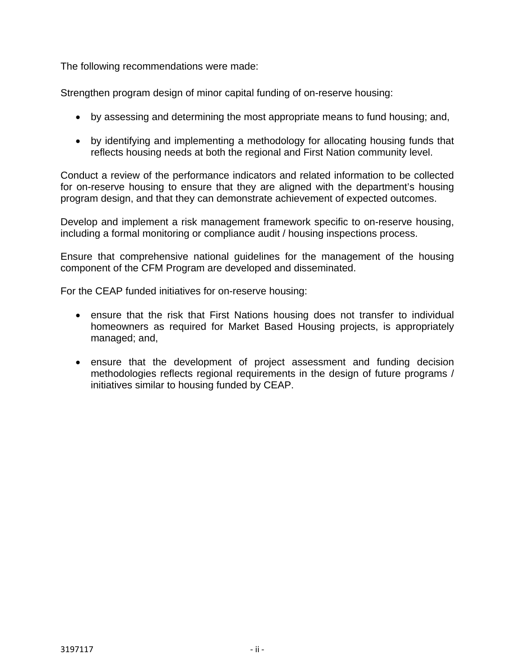The following recommendations were made:

Strengthen program design of minor capital funding of on-reserve housing:

- by assessing and determining the most appropriate means to fund housing; and,
- by identifying and implementing a methodology for allocating housing funds that reflects housing needs at both the regional and First Nation community level.

Conduct a review of the performance indicators and related information to be collected for on-reserve housing to ensure that they are aligned with the department's housing program design, and that they can demonstrate achievement of expected outcomes.

Develop and implement a risk management framework specific to on-reserve housing, including a formal monitoring or compliance audit / housing inspections process.

Ensure that comprehensive national guidelines for the management of the housing component of the CFM Program are developed and disseminated.

For the CEAP funded initiatives for on-reserve housing:

- ensure that the risk that First Nations housing does not transfer to individual homeowners as required for Market Based Housing projects, is appropriately managed; and,
- ensure that the development of project assessment and funding decision methodologies reflects regional requirements in the design of future programs / initiatives similar to housing funded by CEAP.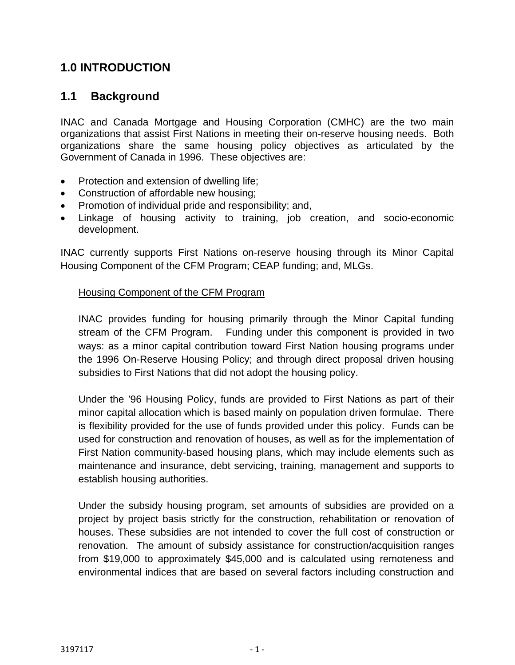# **1.0 INTRODUCTION**

# **1.1 Background**

INAC and Canada Mortgage and Housing Corporation (CMHC) are the two main organizations that assist First Nations in meeting their on-reserve housing needs. Both organizations share the same housing policy objectives as articulated by the Government of Canada in 1996. These objectives are:

- Protection and extension of dwelling life;
- Construction of affordable new housing;
- Promotion of individual pride and responsibility; and,
- Linkage of housing activity to training, job creation, and socio-economic development.

INAC currently supports First Nations on-reserve housing through its Minor Capital Housing Component of the CFM Program; CEAP funding; and, MLGs.

#### Housing Component of the CFM Program

INAC provides funding for housing primarily through the Minor Capital funding stream of the CFM Program. Funding under this component is provided in two ways: as a minor capital contribution toward First Nation housing programs under the 1996 On-Reserve Housing Policy; and through direct proposal driven housing subsidies to First Nations that did not adopt the housing policy.

Under the '96 Housing Policy, funds are provided to First Nations as part of their minor capital allocation which is based mainly on population driven formulae. There is flexibility provided for the use of funds provided under this policy. Funds can be used for construction and renovation of houses, as well as for the implementation of First Nation community-based housing plans, which may include elements such as maintenance and insurance, debt servicing, training, management and supports to establish housing authorities.

Under the subsidy housing program, set amounts of subsidies are provided on a project by project basis strictly for the construction, rehabilitation or renovation of houses. These subsidies are not intended to cover the full cost of construction or renovation. The amount of subsidy assistance for construction/acquisition ranges from \$19,000 to approximately \$45,000 and is calculated using remoteness and environmental indices that are based on several factors including construction and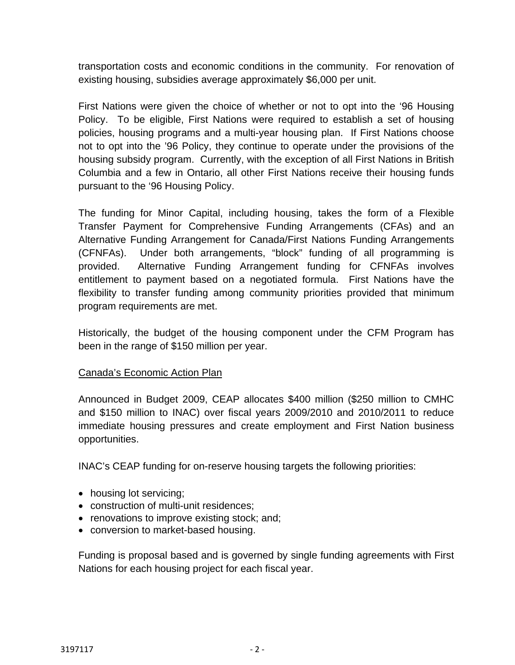transportation costs and economic conditions in the community. For renovation of existing housing, subsidies average approximately \$6,000 per unit.

First Nations were given the choice of whether or not to opt into the '96 Housing Policy. To be eligible, First Nations were required to establish a set of housing policies, housing programs and a multi-year housing plan. If First Nations choose not to opt into the '96 Policy, they continue to operate under the provisions of the housing subsidy program. Currently, with the exception of all First Nations in British Columbia and a few in Ontario, all other First Nations receive their housing funds pursuant to the '96 Housing Policy.

The funding for Minor Capital, including housing, takes the form of a Flexible Transfer Payment for Comprehensive Funding Arrangements (CFAs) and an Alternative Funding Arrangement for Canada/First Nations Funding Arrangements (CFNFAs). Under both arrangements, "block" funding of all programming is provided. Alternative Funding Arrangement funding for CFNFAs involves entitlement to payment based on a negotiated formula. First Nations have the flexibility to transfer funding among community priorities provided that minimum program requirements are met.

Historically, the budget of the housing component under the CFM Program has been in the range of \$150 million per year.

### Canada's Economic Action Plan

Announced in Budget 2009, CEAP allocates \$400 million (\$250 million to CMHC and \$150 million to INAC) over fiscal years 2009/2010 and 2010/2011 to reduce immediate housing pressures and create employment and First Nation business opportunities.

INAC's CEAP funding for on-reserve housing targets the following priorities:

- housing lot servicing;
- construction of multi-unit residences;
- renovations to improve existing stock; and:
- conversion to market-based housing.

Funding is proposal based and is governed by single funding agreements with First Nations for each housing project for each fiscal year.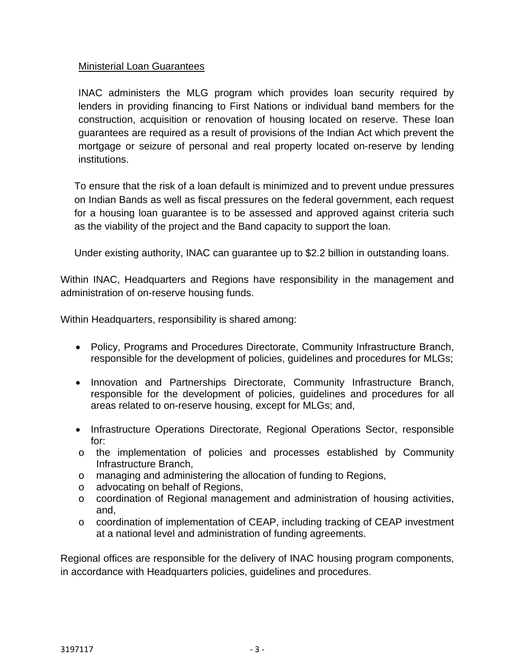#### Ministerial Loan Guarantees

INAC administers the MLG program which provides loan security required by lenders in providing financing to First Nations or individual band members for the construction, acquisition or renovation of housing located on reserve. These loan guarantees are required as a result of provisions of the Indian Act which prevent the mortgage or seizure of personal and real property located on-reserve by lending institutions.

To ensure that the risk of a loan default is minimized and to prevent undue pressures on Indian Bands as well as fiscal pressures on the federal government, each request for a housing loan guarantee is to be assessed and approved against criteria such as the viability of the project and the Band capacity to support the loan.

Under existing authority, INAC can guarantee up to \$2.2 billion in outstanding loans.

Within INAC, Headquarters and Regions have responsibility in the management and administration of on-reserve housing funds.

Within Headquarters, responsibility is shared among:

- Policy, Programs and Procedures Directorate, Community Infrastructure Branch, responsible for the development of policies, guidelines and procedures for MLGs;
- Innovation and Partnerships Directorate, Community Infrastructure Branch, responsible for the development of policies, guidelines and procedures for all areas related to on-reserve housing, except for MLGs; and,
- Infrastructure Operations Directorate, Regional Operations Sector, responsible for:
- o the implementation of policies and processes established by Community Infrastructure Branch,
- o managing and administering the allocation of funding to Regions,
- o advocating on behalf of Regions,
- o coordination of Regional management and administration of housing activities, and,
- o coordination of implementation of CEAP, including tracking of CEAP investment at a national level and administration of funding agreements.

Regional offices are responsible for the delivery of INAC housing program components, in accordance with Headquarters policies, guidelines and procedures.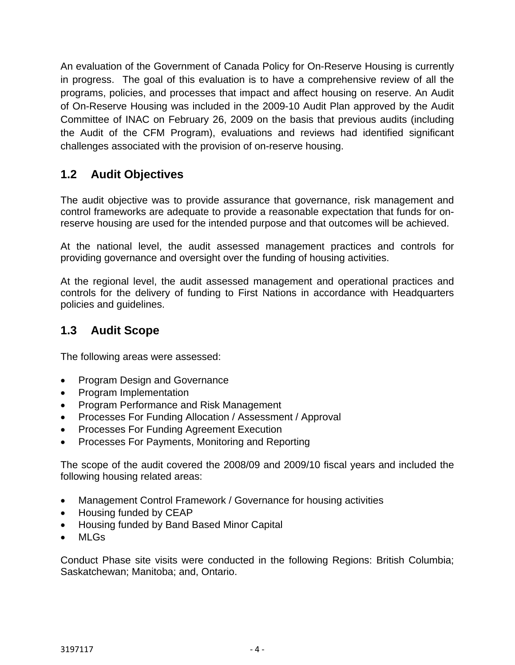An evaluation of the Government of Canada Policy for On-Reserve Housing is currently in progress. The goal of this evaluation is to have a comprehensive review of all the programs, policies, and processes that impact and affect housing on reserve. An Audit of On-Reserve Housing was included in the 2009-10 Audit Plan approved by the Audit Committee of INAC on February 26, 2009 on the basis that previous audits (including the Audit of the CFM Program), evaluations and reviews had identified significant challenges associated with the provision of on-reserve housing.

# **1.2 Audit Objectives**

The audit objective was to provide assurance that governance, risk management and control frameworks are adequate to provide a reasonable expectation that funds for onreserve housing are used for the intended purpose and that outcomes will be achieved.

At the national level, the audit assessed management practices and controls for providing governance and oversight over the funding of housing activities.

At the regional level, the audit assessed management and operational practices and controls for the delivery of funding to First Nations in accordance with Headquarters policies and guidelines.

# **1.3 Audit Scope**

The following areas were assessed:

- Program Design and Governance
- Program Implementation
- Program Performance and Risk Management
- Processes For Funding Allocation / Assessment / Approval
- Processes For Funding Agreement Execution
- Processes For Payments, Monitoring and Reporting

The scope of the audit covered the 2008/09 and 2009/10 fiscal years and included the following housing related areas:

- Management Control Framework / Governance for housing activities
- Housing funded by CEAP
- Housing funded by Band Based Minor Capital
- MLGs

Conduct Phase site visits were conducted in the following Regions: British Columbia; Saskatchewan; Manitoba; and, Ontario.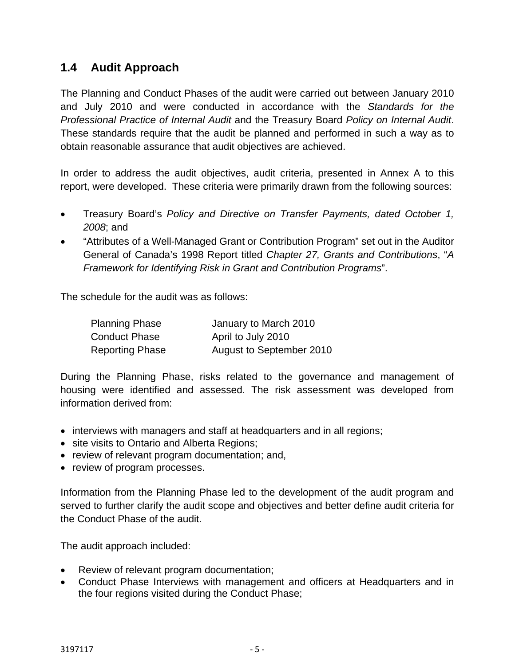# **1.4 Audit Approach**

The Planning and Conduct Phases of the audit were carried out between January 2010 and July 2010 and were conducted in accordance with the *Standards for the Professional Practice of Internal Audit* and the Treasury Board *Policy on Internal Audit*. These standards require that the audit be planned and performed in such a way as to obtain reasonable assurance that audit objectives are achieved.

In order to address the audit objectives, audit criteria, presented in Annex A to this report, were developed. These criteria were primarily drawn from the following sources:

- Treasury Board's *Policy and Directive on Transfer Payments, dated October 1, 2008*; and
- "Attributes of a Well-Managed Grant or Contribution Program" set out in the Auditor General of Canada's 1998 Report titled *Chapter 27, Grants and Contributions*, "*A Framework for Identifying Risk in Grant and Contribution Programs*".

The schedule for the audit was as follows:

| <b>Planning Phase</b>  | January to March 2010    |
|------------------------|--------------------------|
| <b>Conduct Phase</b>   | April to July 2010       |
| <b>Reporting Phase</b> | August to September 2010 |

During the Planning Phase, risks related to the governance and management of housing were identified and assessed. The risk assessment was developed from information derived from:

- interviews with managers and staff at headquarters and in all regions;
- site visits to Ontario and Alberta Regions;
- review of relevant program documentation; and,
- review of program processes.

Information from the Planning Phase led to the development of the audit program and served to further clarify the audit scope and objectives and better define audit criteria for the Conduct Phase of the audit.

The audit approach included:

- Review of relevant program documentation;
- Conduct Phase Interviews with management and officers at Headquarters and in the four regions visited during the Conduct Phase;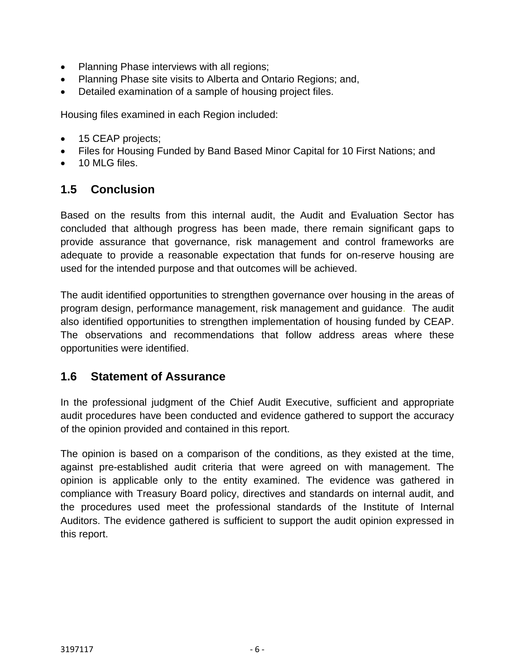- Planning Phase interviews with all regions;
- Planning Phase site visits to Alberta and Ontario Regions; and,
- Detailed examination of a sample of housing project files.

Housing files examined in each Region included:

- 15 CEAP projects;
- Files for Housing Funded by Band Based Minor Capital for 10 First Nations; and
- 10 MLG files.

# **1.5 Conclusion**

Based on the results from this internal audit, the Audit and Evaluation Sector has concluded that although progress has been made, there remain significant gaps to provide assurance that governance, risk management and control frameworks are adequate to provide a reasonable expectation that funds for on-reserve housing are used for the intended purpose and that outcomes will be achieved.

The audit identified opportunities to strengthen governance over housing in the areas of program design, performance management, risk management and guidance. The audit also identified opportunities to strengthen implementation of housing funded by CEAP. The observations and recommendations that follow address areas where these opportunities were identified.

## **1.6 Statement of Assurance**

In the professional judgment of the Chief Audit Executive, sufficient and appropriate audit procedures have been conducted and evidence gathered to support the accuracy of the opinion provided and contained in this report.

The opinion is based on a comparison of the conditions, as they existed at the time, against pre-established audit criteria that were agreed on with management. The opinion is applicable only to the entity examined. The evidence was gathered in compliance with Treasury Board policy, directives and standards on internal audit, and the procedures used meet the professional standards of the Institute of Internal Auditors. The evidence gathered is sufficient to support the audit opinion expressed in this report.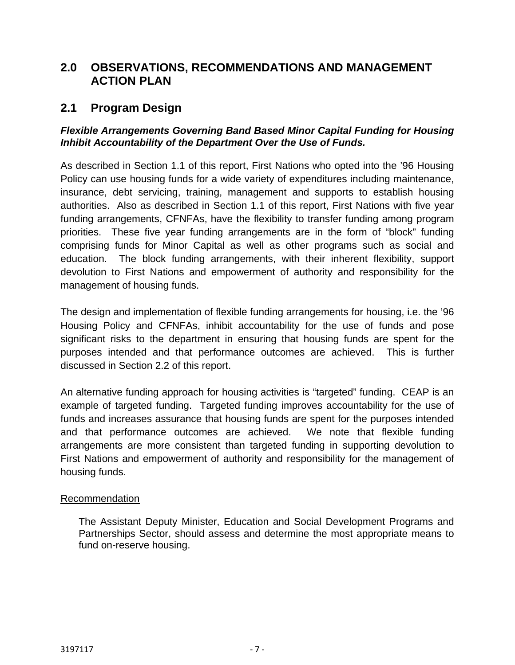# **2.0 OBSERVATIONS, RECOMMENDATIONS AND MANAGEMENT ACTION PLAN**

# **2.1 Program Design**

#### *Flexible Arrangements Governing Band Based Minor Capital Funding for Housing Inhibit Accountability of the Department Over the Use of Funds.*

As described in Section 1.1 of this report, First Nations who opted into the '96 Housing Policy can use housing funds for a wide variety of expenditures including maintenance, insurance, debt servicing, training, management and supports to establish housing authorities. Also as described in Section 1.1 of this report, First Nations with five year funding arrangements, CFNFAs, have the flexibility to transfer funding among program priorities. These five year funding arrangements are in the form of "block" funding comprising funds for Minor Capital as well as other programs such as social and education. The block funding arrangements, with their inherent flexibility, support devolution to First Nations and empowerment of authority and responsibility for the management of housing funds.

The design and implementation of flexible funding arrangements for housing, i.e. the '96 Housing Policy and CFNFAs, inhibit accountability for the use of funds and pose significant risks to the department in ensuring that housing funds are spent for the purposes intended and that performance outcomes are achieved. This is further discussed in Section 2.2 of this report.

An alternative funding approach for housing activities is "targeted" funding. CEAP is an example of targeted funding. Targeted funding improves accountability for the use of funds and increases assurance that housing funds are spent for the purposes intended and that performance outcomes are achieved. We note that flexible funding arrangements are more consistent than targeted funding in supporting devolution to First Nations and empowerment of authority and responsibility for the management of housing funds.

#### Recommendation

The Assistant Deputy Minister, Education and Social Development Programs and Partnerships Sector, should assess and determine the most appropriate means to fund on-reserve housing.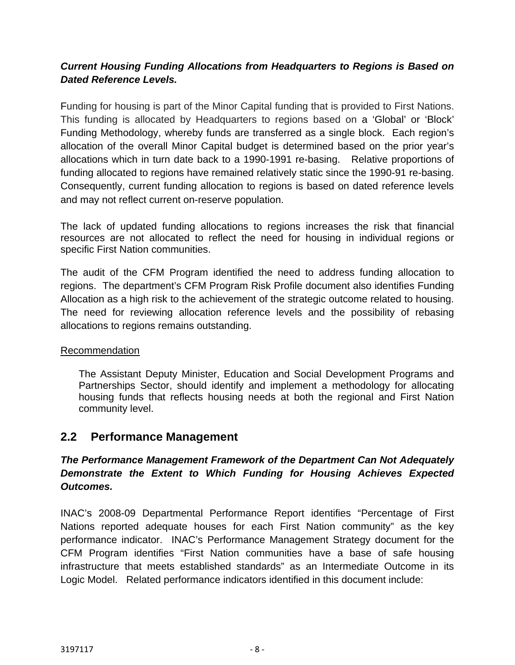## *Current Housing Funding Allocations from Headquarters to Regions is Based on Dated Reference Levels.*

Funding for housing is part of the Minor Capital funding that is provided to First Nations. This funding is allocated by Headquarters to regions based on a 'Global' or 'Block' Funding Methodology, whereby funds are transferred as a single block. Each region's allocation of the overall Minor Capital budget is determined based on the prior year's allocations which in turn date back to a 1990-1991 re-basing. Relative proportions of funding allocated to regions have remained relatively static since the 1990-91 re-basing. Consequently, current funding allocation to regions is based on dated reference levels and may not reflect current on-reserve population.

The lack of updated funding allocations to regions increases the risk that financial resources are not allocated to reflect the need for housing in individual regions or specific First Nation communities.

The audit of the CFM Program identified the need to address funding allocation to regions. The department's CFM Program Risk Profile document also identifies Funding Allocation as a high risk to the achievement of the strategic outcome related to housing. The need for reviewing allocation reference levels and the possibility of rebasing allocations to regions remains outstanding.

### Recommendation

The Assistant Deputy Minister, Education and Social Development Programs and Partnerships Sector, should identify and implement a methodology for allocating housing funds that reflects housing needs at both the regional and First Nation community level.

## **2.2 Performance Management**

## *The Performance Management Framework of the Department Can Not Adequately Demonstrate the Extent to Which Funding for Housing Achieves Expected Outcomes.*

INAC's 2008-09 Departmental Performance Report identifies "Percentage of First Nations reported adequate houses for each First Nation community" as the key performance indicator. INAC's Performance Management Strategy document for the CFM Program identifies "First Nation communities have a base of safe housing infrastructure that meets established standards" as an Intermediate Outcome in its Logic Model. Related performance indicators identified in this document include: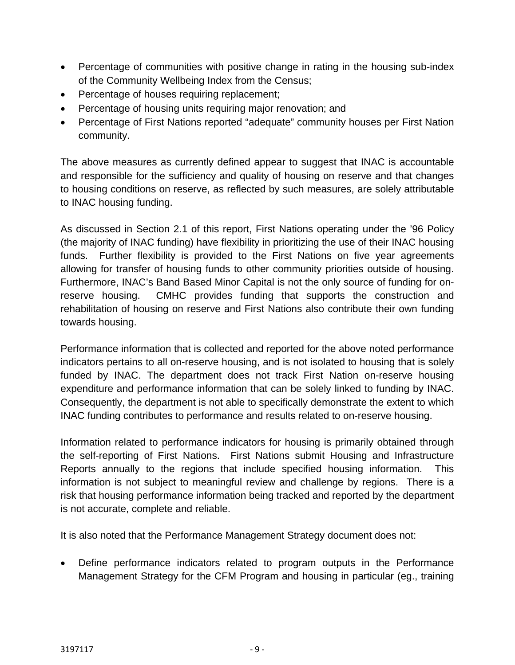- Percentage of communities with positive change in rating in the housing sub-index of the Community Wellbeing Index from the Census;
- Percentage of houses requiring replacement;
- Percentage of housing units requiring major renovation; and
- Percentage of First Nations reported "adequate" community houses per First Nation community.

The above measures as currently defined appear to suggest that INAC is accountable and responsible for the sufficiency and quality of housing on reserve and that changes to housing conditions on reserve, as reflected by such measures, are solely attributable to INAC housing funding.

As discussed in Section 2.1 of this report, First Nations operating under the '96 Policy (the majority of INAC funding) have flexibility in prioritizing the use of their INAC housing funds. Further flexibility is provided to the First Nations on five year agreements allowing for transfer of housing funds to other community priorities outside of housing. Furthermore, INAC's Band Based Minor Capital is not the only source of funding for onreserve housing. CMHC provides funding that supports the construction and rehabilitation of housing on reserve and First Nations also contribute their own funding towards housing.

Performance information that is collected and reported for the above noted performance indicators pertains to all on-reserve housing, and is not isolated to housing that is solely funded by INAC. The department does not track First Nation on-reserve housing expenditure and performance information that can be solely linked to funding by INAC. Consequently, the department is not able to specifically demonstrate the extent to which INAC funding contributes to performance and results related to on-reserve housing.

Information related to performance indicators for housing is primarily obtained through the self-reporting of First Nations. First Nations submit Housing and Infrastructure Reports annually to the regions that include specified housing information. This information is not subject to meaningful review and challenge by regions. There is a risk that housing performance information being tracked and reported by the department is not accurate, complete and reliable.

It is also noted that the Performance Management Strategy document does not:

• Define performance indicators related to program outputs in the Performance Management Strategy for the CFM Program and housing in particular (eg., training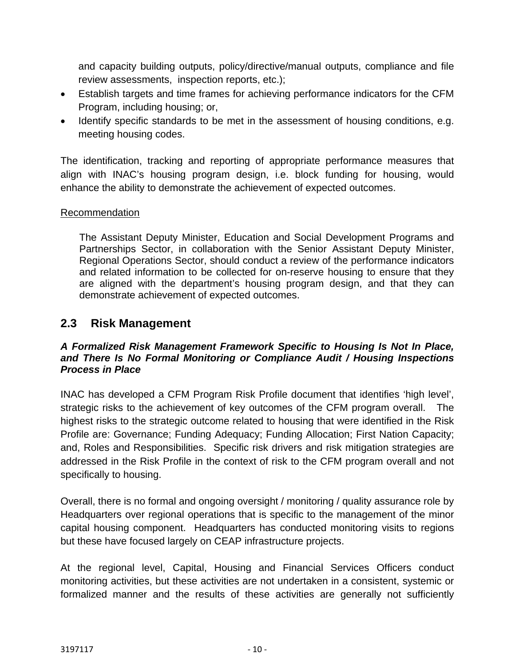and capacity building outputs, policy/directive/manual outputs, compliance and file review assessments, inspection reports, etc.);

- Establish targets and time frames for achieving performance indicators for the CFM Program, including housing; or,
- Identify specific standards to be met in the assessment of housing conditions, e.g. meeting housing codes.

The identification, tracking and reporting of appropriate performance measures that align with INAC's housing program design, i.e. block funding for housing, would enhance the ability to demonstrate the achievement of expected outcomes.

#### Recommendation

 The Assistant Deputy Minister, Education and Social Development Programs and Partnerships Sector, in collaboration with the Senior Assistant Deputy Minister, Regional Operations Sector, should conduct a review of the performance indicators and related information to be collected for on-reserve housing to ensure that they are aligned with the department's housing program design, and that they can demonstrate achievement of expected outcomes.

## **2.3 Risk Management**

#### *A Formalized Risk Management Framework Specific to Housing Is Not In Place, and There Is No Formal Monitoring or Compliance Audit / Housing Inspections Process in Place*

INAC has developed a CFM Program Risk Profile document that identifies 'high level', strategic risks to the achievement of key outcomes of the CFM program overall. The highest risks to the strategic outcome related to housing that were identified in the Risk Profile are: Governance; Funding Adequacy; Funding Allocation; First Nation Capacity; and, Roles and Responsibilities. Specific risk drivers and risk mitigation strategies are addressed in the Risk Profile in the context of risk to the CFM program overall and not specifically to housing.

Overall, there is no formal and ongoing oversight / monitoring / quality assurance role by Headquarters over regional operations that is specific to the management of the minor capital housing component. Headquarters has conducted monitoring visits to regions but these have focused largely on CEAP infrastructure projects.

At the regional level, Capital, Housing and Financial Services Officers conduct monitoring activities, but these activities are not undertaken in a consistent, systemic or formalized manner and the results of these activities are generally not sufficiently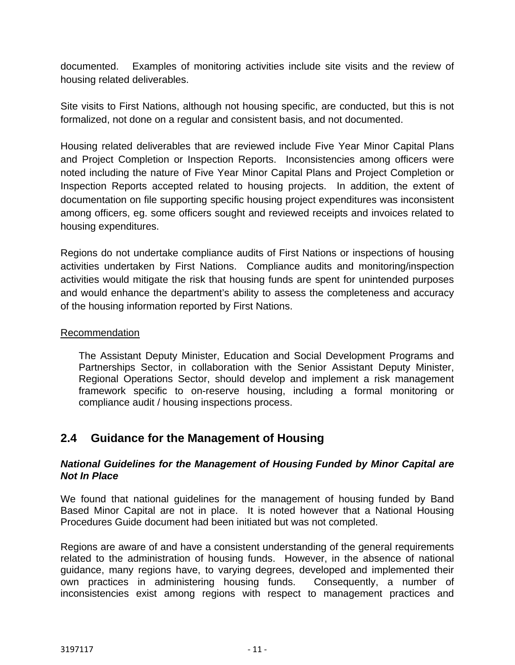documented. Examples of monitoring activities include site visits and the review of housing related deliverables.

Site visits to First Nations, although not housing specific, are conducted, but this is not formalized, not done on a regular and consistent basis, and not documented.

Housing related deliverables that are reviewed include Five Year Minor Capital Plans and Project Completion or Inspection Reports. Inconsistencies among officers were noted including the nature of Five Year Minor Capital Plans and Project Completion or Inspection Reports accepted related to housing projects. In addition, the extent of documentation on file supporting specific housing project expenditures was inconsistent among officers, eg. some officers sought and reviewed receipts and invoices related to housing expenditures.

Regions do not undertake compliance audits of First Nations or inspections of housing activities undertaken by First Nations. Compliance audits and monitoring/inspection activities would mitigate the risk that housing funds are spent for unintended purposes and would enhance the department's ability to assess the completeness and accuracy of the housing information reported by First Nations.

#### Recommendation

The Assistant Deputy Minister, Education and Social Development Programs and Partnerships Sector, in collaboration with the Senior Assistant Deputy Minister, Regional Operations Sector, should develop and implement a risk management framework specific to on-reserve housing, including a formal monitoring or compliance audit / housing inspections process.

# **2.4 Guidance for the Management of Housing**

#### *National Guidelines for the Management of Housing Funded by Minor Capital are Not In Place*

We found that national guidelines for the management of housing funded by Band Based Minor Capital are not in place. It is noted however that a National Housing Procedures Guide document had been initiated but was not completed.

Regions are aware of and have a consistent understanding of the general requirements related to the administration of housing funds. However, in the absence of national guidance, many regions have, to varying degrees, developed and implemented their own practices in administering housing funds. Consequently, a number of inconsistencies exist among regions with respect to management practices and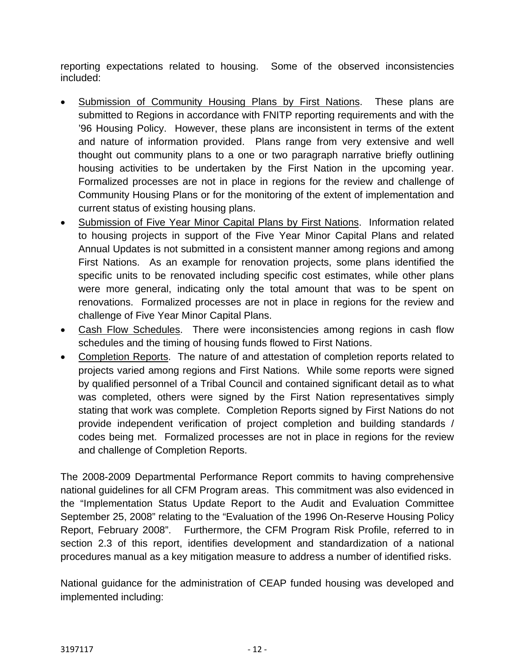reporting expectations related to housing. Some of the observed inconsistencies included:

- Submission of Community Housing Plans by First Nations. These plans are submitted to Regions in accordance with FNITP reporting requirements and with the '96 Housing Policy. However, these plans are inconsistent in terms of the extent and nature of information provided. Plans range from very extensive and well thought out community plans to a one or two paragraph narrative briefly outlining housing activities to be undertaken by the First Nation in the upcoming year. Formalized processes are not in place in regions for the review and challenge of Community Housing Plans or for the monitoring of the extent of implementation and current status of existing housing plans.
- Submission of Five Year Minor Capital Plans by First Nations. Information related to housing projects in support of the Five Year Minor Capital Plans and related Annual Updates is not submitted in a consistent manner among regions and among First Nations. As an example for renovation projects, some plans identified the specific units to be renovated including specific cost estimates, while other plans were more general, indicating only the total amount that was to be spent on renovations. Formalized processes are not in place in regions for the review and challenge of Five Year Minor Capital Plans.
- Cash Flow Schedules. There were inconsistencies among regions in cash flow schedules and the timing of housing funds flowed to First Nations.
- Completion Reports. The nature of and attestation of completion reports related to projects varied among regions and First Nations. While some reports were signed by qualified personnel of a Tribal Council and contained significant detail as to what was completed, others were signed by the First Nation representatives simply stating that work was complete. Completion Reports signed by First Nations do not provide independent verification of project completion and building standards / codes being met. Formalized processes are not in place in regions for the review and challenge of Completion Reports.

The 2008-2009 Departmental Performance Report commits to having comprehensive national guidelines for all CFM Program areas. This commitment was also evidenced in the "Implementation Status Update Report to the Audit and Evaluation Committee September 25, 2008" relating to the "Evaluation of the 1996 On-Reserve Housing Policy Report, February 2008". Furthermore, the CFM Program Risk Profile, referred to in section 2.3 of this report, identifies development and standardization of a national procedures manual as a key mitigation measure to address a number of identified risks.

National guidance for the administration of CEAP funded housing was developed and implemented including: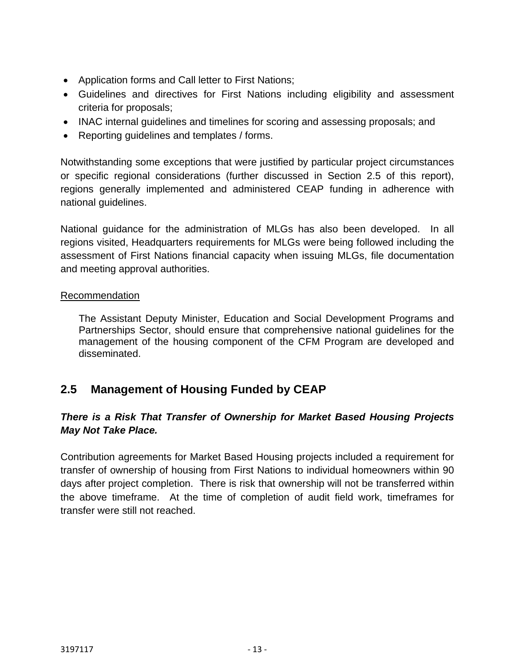- Application forms and Call letter to First Nations;
- Guidelines and directives for First Nations including eligibility and assessment criteria for proposals;
- INAC internal guidelines and timelines for scoring and assessing proposals; and
- Reporting guidelines and templates / forms.

Notwithstanding some exceptions that were justified by particular project circumstances or specific regional considerations (further discussed in Section 2.5 of this report), regions generally implemented and administered CEAP funding in adherence with national guidelines.

National guidance for the administration of MLGs has also been developed. In all regions visited, Headquarters requirements for MLGs were being followed including the assessment of First Nations financial capacity when issuing MLGs, file documentation and meeting approval authorities.

#### Recommendation

The Assistant Deputy Minister, Education and Social Development Programs and Partnerships Sector, should ensure that comprehensive national guidelines for the management of the housing component of the CFM Program are developed and disseminated.

# **2.5 Management of Housing Funded by CEAP**

## *There is a Risk That Transfer of Ownership for Market Based Housing Projects May Not Take Place.*

Contribution agreements for Market Based Housing projects included a requirement for transfer of ownership of housing from First Nations to individual homeowners within 90 days after project completion. There is risk that ownership will not be transferred within the above timeframe. At the time of completion of audit field work, timeframes for transfer were still not reached.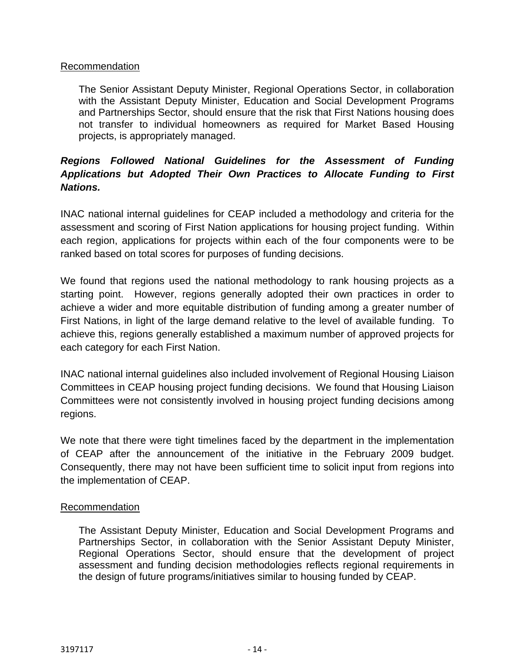#### Recommendation

The Senior Assistant Deputy Minister, Regional Operations Sector, in collaboration with the Assistant Deputy Minister, Education and Social Development Programs and Partnerships Sector, should ensure that the risk that First Nations housing does not transfer to individual homeowners as required for Market Based Housing projects, is appropriately managed.

## *Regions Followed National Guidelines for the Assessment of Funding Applications but Adopted Their Own Practices to Allocate Funding to First Nations.*

INAC national internal guidelines for CEAP included a methodology and criteria for the assessment and scoring of First Nation applications for housing project funding. Within each region, applications for projects within each of the four components were to be ranked based on total scores for purposes of funding decisions.

We found that regions used the national methodology to rank housing projects as a starting point. However, regions generally adopted their own practices in order to achieve a wider and more equitable distribution of funding among a greater number of First Nations, in light of the large demand relative to the level of available funding. To achieve this, regions generally established a maximum number of approved projects for each category for each First Nation.

INAC national internal guidelines also included involvement of Regional Housing Liaison Committees in CEAP housing project funding decisions. We found that Housing Liaison Committees were not consistently involved in housing project funding decisions among regions.

We note that there were tight timelines faced by the department in the implementation of CEAP after the announcement of the initiative in the February 2009 budget. Consequently, there may not have been sufficient time to solicit input from regions into the implementation of CEAP.

#### **Recommendation**

The Assistant Deputy Minister, Education and Social Development Programs and Partnerships Sector, in collaboration with the Senior Assistant Deputy Minister, Regional Operations Sector, should ensure that the development of project assessment and funding decision methodologies reflects regional requirements in the design of future programs/initiatives similar to housing funded by CEAP.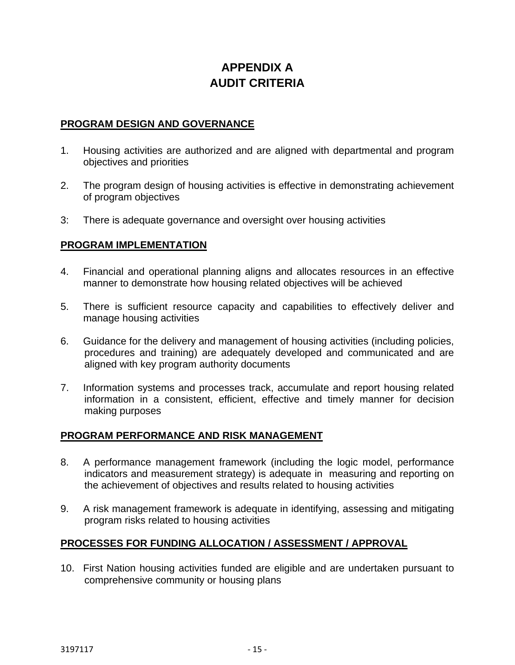# **APPENDIX A AUDIT CRITERIA**

#### **PROGRAM DESIGN AND GOVERNANCE**

- 1. Housing activities are authorized and are aligned with departmental and program objectives and priorities
- 2. The program design of housing activities is effective in demonstrating achievement of program objectives
- 3: There is adequate governance and oversight over housing activities

#### **PROGRAM IMPLEMENTATION**

- 4. Financial and operational planning aligns and allocates resources in an effective manner to demonstrate how housing related objectives will be achieved
- 5. There is sufficient resource capacity and capabilities to effectively deliver and manage housing activities
- 6. Guidance for the delivery and management of housing activities (including policies, procedures and training) are adequately developed and communicated and are aligned with key program authority documents
- 7. Information systems and processes track, accumulate and report housing related information in a consistent, efficient, effective and timely manner for decision making purposes

### **PROGRAM PERFORMANCE AND RISK MANAGEMENT**

- 8. A performance management framework (including the logic model, performance indicators and measurement strategy) is adequate in measuring and reporting on the achievement of objectives and results related to housing activities
- 9. A risk management framework is adequate in identifying, assessing and mitigating program risks related to housing activities

### **PROCESSES FOR FUNDING ALLOCATION / ASSESSMENT / APPROVAL**

10. First Nation housing activities funded are eligible and are undertaken pursuant to comprehensive community or housing plans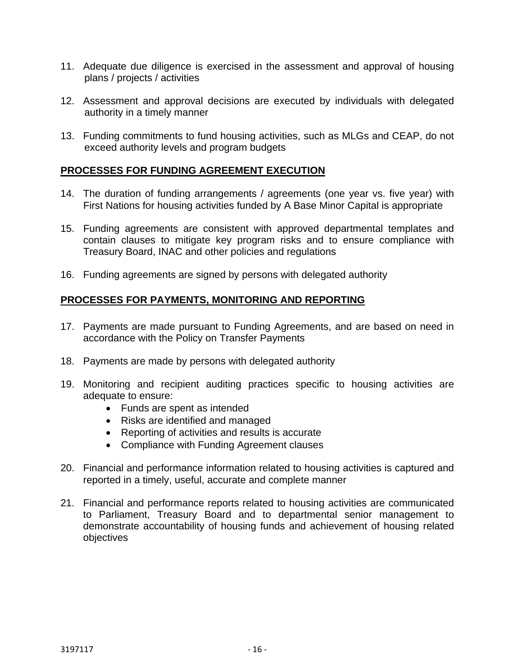- 11. Adequate due diligence is exercised in the assessment and approval of housing plans / projects / activities
- 12. Assessment and approval decisions are executed by individuals with delegated authority in a timely manner
- 13. Funding commitments to fund housing activities, such as MLGs and CEAP, do not exceed authority levels and program budgets

### **PROCESSES FOR FUNDING AGREEMENT EXECUTION**

- 14. The duration of funding arrangements / agreements (one year vs. five year) with First Nations for housing activities funded by A Base Minor Capital is appropriate
- 15. Funding agreements are consistent with approved departmental templates and contain clauses to mitigate key program risks and to ensure compliance with Treasury Board, INAC and other policies and regulations
- 16. Funding agreements are signed by persons with delegated authority

#### **PROCESSES FOR PAYMENTS, MONITORING AND REPORTING**

- 17. Payments are made pursuant to Funding Agreements, and are based on need in accordance with the Policy on Transfer Payments
- 18. Payments are made by persons with delegated authority
- 19. Monitoring and recipient auditing practices specific to housing activities are adequate to ensure:
	- Funds are spent as intended
	- Risks are identified and managed
	- Reporting of activities and results is accurate
	- Compliance with Funding Agreement clauses
- 20. Financial and performance information related to housing activities is captured and reported in a timely, useful, accurate and complete manner
- 21. Financial and performance reports related to housing activities are communicated to Parliament, Treasury Board and to departmental senior management to demonstrate accountability of housing funds and achievement of housing related objectives